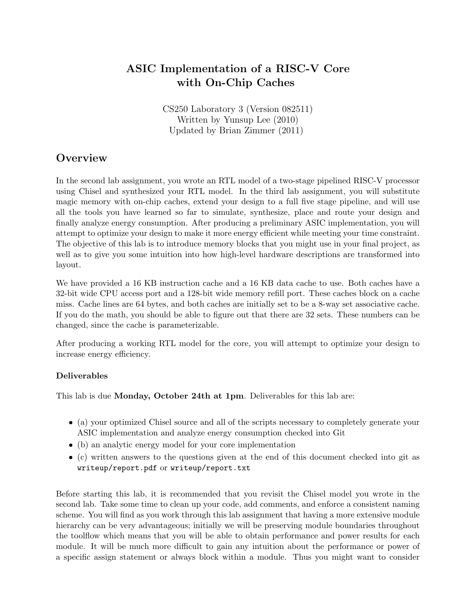# ASIC Implementation of a RISC-V Core with On-Chip Caches

CS250 Laboratory 3 (Version 082511) Written by Yunsup Lee (2010) Updated by Brian Zimmer (2011)

# **Overview**

In the second lab assignment, you wrote an RTL model of a two-stage pipelined RISC-V processor using Chisel and synthesized your RTL model. In the third lab assignment, you will substitute magic memory with on-chip caches, extend your design to a full five stage pipeline, and will use all the tools you have learned so far to simulate, synthesize, place and route your design and finally analyze energy consumption. After producing a preliminary ASIC implementation, you will attempt to optimize your design to make it more energy efficient while meeting your time constraint. The objective of this lab is to introduce memory blocks that you might use in your final project, as well as to give you some intuition into how high-level hardware descriptions are transformed into layout.

We have provided a 16 KB instruction cache and a 16 KB data cache to use. Both caches have a 32-bit wide CPU access port and a 128-bit wide memory refill port. These caches block on a cache miss. Cache lines are 64 bytes, and both caches are initially set to be a 8-way set associative cache. If you do the math, you should be able to figure out that there are 32 sets. These numbers can be changed, since the cache is parameterizable.

After producing a working RTL model for the core, you will attempt to optimize your design to increase energy efficiency.

### Deliverables

This lab is due Monday, October 24th at 1pm. Deliverables for this lab are:

- (a) your optimized Chisel source and all of the scripts necessary to completely generate your ASIC implementation and analyze energy consumption checked into Git
- (b) an analytic energy model for your core implementation
- (c) written answers to the questions given at the end of this document checked into git as writeup/report.pdf or writeup/report.txt

Before starting this lab, it is recommended that you revisit the Chisel model you wrote in the second lab. Take some time to clean up your code, add comments, and enforce a consistent naming scheme. You will find as you work through this lab assignment that having a more extensive module hierarchy can be very advantageous; initially we will be preserving module boundaries throughout the toolflow which means that you will be able to obtain performance and power results for each module. It will be much more difficult to gain any intuition about the performance or power of a specific assign statement or always block within a module. Thus you might want to consider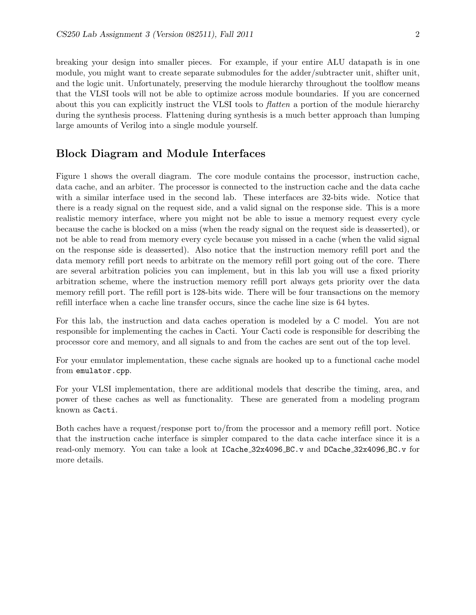breaking your design into smaller pieces. For example, if your entire ALU datapath is in one module, you might want to create separate submodules for the adder/subtracter unit, shifter unit, and the logic unit. Unfortunately, preserving the module hierarchy throughout the toolflow means that the VLSI tools will not be able to optimize across module boundaries. If you are concerned about this you can explicitly instruct the VLSI tools to flatten a portion of the module hierarchy during the synthesis process. Flattening during synthesis is a much better approach than lumping large amounts of Verilog into a single module yourself.

## Block Diagram and Module Interfaces

Figure 1 shows the overall diagram. The core module contains the processor, instruction cache, data cache, and an arbiter. The processor is connected to the instruction cache and the data cache with a similar interface used in the second lab. These interfaces are 32-bits wide. Notice that there is a ready signal on the request side, and a valid signal on the response side. This is a more realistic memory interface, where you might not be able to issue a memory request every cycle because the cache is blocked on a miss (when the ready signal on the request side is deasserted), or not be able to read from memory every cycle because you missed in a cache (when the valid signal on the response side is deasserted). Also notice that the instruction memory refill port and the data memory refill port needs to arbitrate on the memory refill port going out of the core. There are several arbitration policies you can implement, but in this lab you will use a fixed priority arbitration scheme, where the instruction memory refill port always gets priority over the data memory refill port. The refill port is 128-bits wide. There will be four transactions on the memory refill interface when a cache line transfer occurs, since the cache line size is 64 bytes.

For this lab, the instruction and data caches operation is modeled by a C model. You are not responsible for implementing the caches in Cacti. Your Cacti code is responsible for describing the processor core and memory, and all signals to and from the caches are sent out of the top level.

For your emulator implementation, these cache signals are hooked up to a functional cache model from emulator.cpp.

For your VLSI implementation, there are additional models that describe the timing, area, and power of these caches as well as functionality. These are generated from a modeling program known as Cacti.

Both caches have a request/response port to/from the processor and a memory refill port. Notice that the instruction cache interface is simpler compared to the data cache interface since it is a read-only memory. You can take a look at ICache 32x4096 BC.v and DCache 32x4096 BC.v for more details.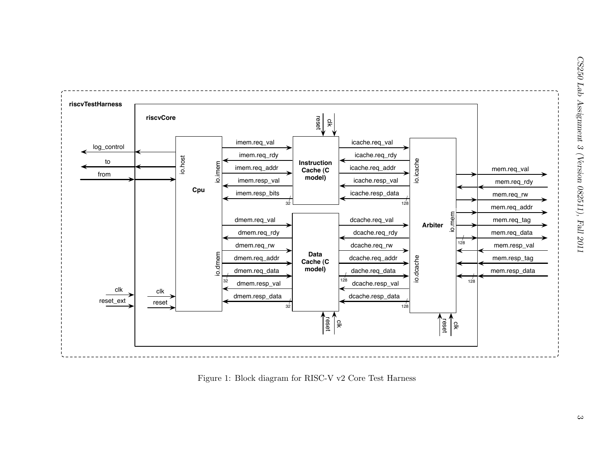

Figure 1: Block diagram for RISC-V v2 Core Test Harness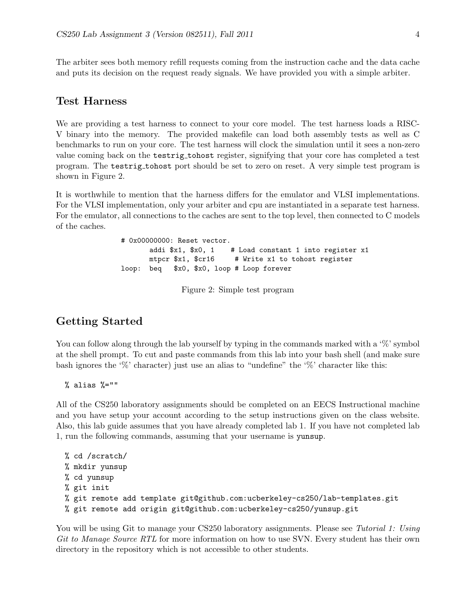The arbiter sees both memory refill requests coming from the instruction cache and the data cache and puts its decision on the request ready signals. We have provided you with a simple arbiter.

### Test Harness

We are providing a test harness to connect to your core model. The test harness loads a RISC-V binary into the memory. The provided makefile can load both assembly tests as well as C benchmarks to run on your core. The test harness will clock the simulation until it sees a non-zero value coming back on the testrig tohost register, signifying that your core has completed a test program. The testrig tohost port should be set to zero on reset. A very simple test program is shown in Figure 2.

It is worthwhile to mention that the harness differs for the emulator and VLSI implementations. For the VLSI implementation, only your arbiter and cpu are instantiated in a separate test harness. For the emulator, all connections to the caches are sent to the top level, then connected to C models of the caches.

> # 0x00000000: Reset vector. addi  $x1$ ,  $x0$ , 1 # Load constant 1 into register x1 mtpcr \$x1, \$cr16 # Write x1 to tohost register loop: beq \$x0, \$x0, loop # Loop forever

> > Figure 2: Simple test program

### Getting Started

You can follow along through the lab yourself by typing in the commands marked with a '%' symbol at the shell prompt. To cut and paste commands from this lab into your bash shell (and make sure bash ignores the '%' character) just use an alias to "undefine" the '%' character like this:

% alias %=""

All of the CS250 laboratory assignments should be completed on an EECS Instructional machine and you have setup your account according to the setup instructions given on the class website. Also, this lab guide assumes that you have already completed lab 1. If you have not completed lab 1, run the following commands, assuming that your username is yunsup.

```
% cd /scratch/
% mkdir yunsup
% cd yunsup
% git init
% git remote add template git@github.com:ucberkeley-cs250/lab-templates.git
% git remote add origin git@github.com:ucberkeley-cs250/yunsup.git
```
You will be using Git to manage your CS250 laboratory assignments. Please see Tutorial 1: Using Git to Manage Source RTL for more information on how to use SVN. Every student has their own directory in the repository which is not accessible to other students.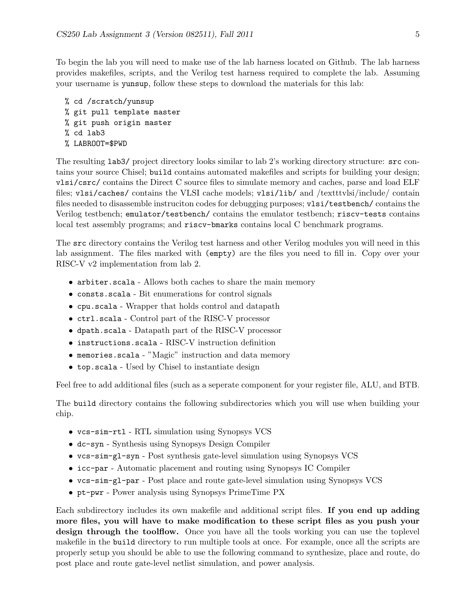To begin the lab you will need to make use of the lab harness located on Github. The lab harness provides makefiles, scripts, and the Verilog test harness required to complete the lab. Assuming your username is yunsup, follow these steps to download the materials for this lab:

```
% cd /scratch/yunsup
% git pull template master
% git push origin master
% cd lab3
% LABROOT=$PWD
```
The resulting lab3/ project directory looks similar to lab 2's working directory structure: src contains your source Chisel; build contains automated makefiles and scripts for building your design; vlsi/csrc/ contains the Direct C source files to simulate memory and caches, parse and load ELF files; vlsi/caches/ contains the VLSI cache models; vlsi/lib/ and /textttvlsi/include/ contain files needed to disassemble instruciton codes for debugging purposes; vlsi/testbench/ contains the Verilog testbench; emulator/testbench/ contains the emulator testbench; riscv-tests contains local test assembly programs; and riscv-bmarks contains local C benchmark programs.

The src directory contains the Verilog test harness and other Verilog modules you will need in this lab assignment. The files marked with (empty) are the files you need to fill in. Copy over your RISC-V v2 implementation from lab 2.

- arbiter.scala Allows both caches to share the main memory
- consts.scala Bit enumerations for control signals
- cpu.scala Wrapper that holds control and datapath
- ctrl.scala Control part of the RISC-V processor
- dpath.scala Datapath part of the RISC-V processor
- instructions.scala RISC-V instruction definition
- memories.scala "Magic" instruction and data memory
- top.scala Used by Chisel to instantiate design

Feel free to add additional files (such as a seperate component for your register file, ALU, and BTB.

The build directory contains the following subdirectories which you will use when building your chip.

- vcs-sim-rtl RTL simulation using Synopsys VCS
- dc-syn Synthesis using Synopsys Design Compiler
- vcs-sim-gl-syn Post synthesis gate-level simulation using Synopsys VCS
- icc-par Automatic placement and routing using Synopsys IC Compiler
- vcs-sim-gl-par Post place and route gate-level simulation using Synopsys VCS
- pt-pwr Power analysis using Synopsys PrimeTime PX

Each subdirectory includes its own makefile and additional script files. If you end up adding more files, you will have to make modification to these script files as you push your design through the toolflow. Once you have all the tools working you can use the toplevel makefile in the build directory to run multiple tools at once. For example, once all the scripts are properly setup you should be able to use the following command to synthesize, place and route, do post place and route gate-level netlist simulation, and power analysis.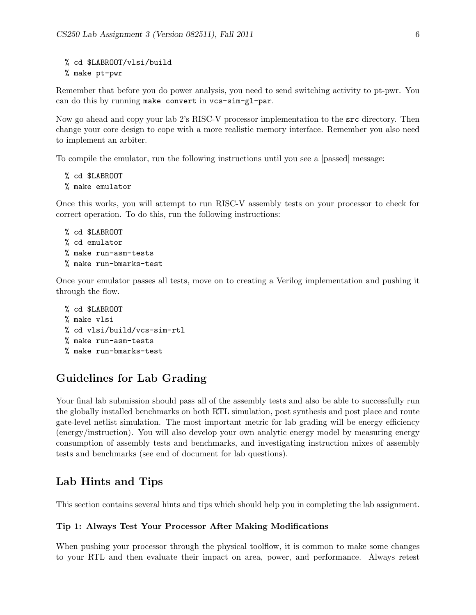```
% cd $LABROOT/vlsi/build
% make pt-pwr
```
Remember that before you do power analysis, you need to send switching activity to pt-pwr. You can do this by running make convert in vcs-sim-gl-par.

Now go ahead and copy your lab 2's RISC-V processor implementation to the src directory. Then change your core design to cope with a more realistic memory interface. Remember you also need to implement an arbiter.

To compile the emulator, run the following instructions until you see a [passed] message:

```
% cd $LABROOT
% make emulator
```
Once this works, you will attempt to run RISC-V assembly tests on your processor to check for correct operation. To do this, run the following instructions:

```
% cd $LABROOT
% cd emulator
% make run-asm-tests
% make run-bmarks-test
```
Once your emulator passes all tests, move on to creating a Verilog implementation and pushing it through the flow.

```
% cd $LABROOT
% make vlsi
% cd vlsi/build/vcs-sim-rtl
% make run-asm-tests
% make run-bmarks-test
```
# Guidelines for Lab Grading

Your final lab submission should pass all of the assembly tests and also be able to successfully run the globally installed benchmarks on both RTL simulation, post synthesis and post place and route gate-level netlist simulation. The most important metric for lab grading will be energy efficiency (energy/instruction). You will also develop your own analytic energy model by measuring energy consumption of assembly tests and benchmarks, and investigating instruction mixes of assembly tests and benchmarks (see end of document for lab questions).

# Lab Hints and Tips

This section contains several hints and tips which should help you in completing the lab assignment.

#### Tip 1: Always Test Your Processor After Making Modifications

When pushing your processor through the physical toolflow, it is common to make some changes to your RTL and then evaluate their impact on area, power, and performance. Always retest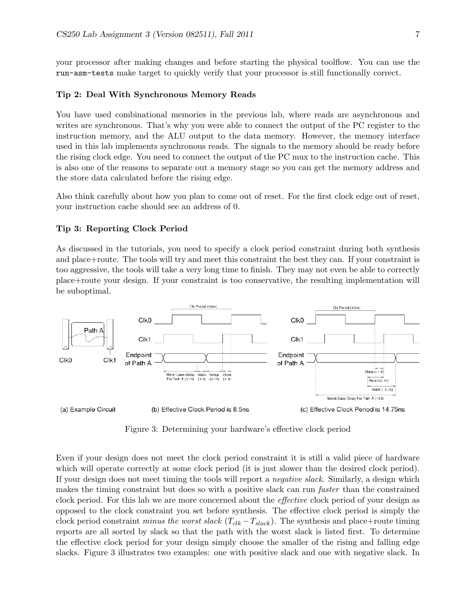your processor after making changes and before starting the physical toolflow. You can use the run-asm-tests make target to quickly verify that your processor is still functionally correct.

#### Tip 2: Deal With Synchronous Memory Reads

You have used combinational memories in the previous lab, where reads are asynchronous and writes are synchronous. That's why you were able to connect the output of the PC register to the instruction memory, and the ALU output to the data memory. However, the memory interface used in this lab implements synchronous reads. The signals to the memory should be ready before the rising clock edge. You need to connect the output of the PC mux to the instruction cache. This is also one of the reasons to separate out a memory stage so you can get the memory address and the store data calculated before the rising edge.

Also think carefully about how you plan to come out of reset. For the first clock edge out of reset, your instruction cache should see an address of 0.

#### Tip 3: Reporting Clock Period

As discussed in the tutorials, you need to specify a clock period constraint during both synthesis and place+route. The tools will try and meet this constraint the best they can. If your constraint is too aggressive, the tools will take a very long time to finish. They may not even be able to correctly place+route your design. If your constraint is too conservative, the resulting implementation will be suboptimal.



Figure 3: Determining your hardware's effective clock period

Even if your design does not meet the clock period constraint it is still a valid piece of hardware which will operate correctly at some clock period (it is just slower than the desired clock period). If your design does not meet timing the tools will report a negative slack. Similarly, a design which makes the timing constraint but does so with a positive slack can run faster than the constrained clock period. For this lab we are more concerned about the effective clock period of your design as opposed to the clock constraint you set before synthesis. The effective clock period is simply the clock period constraint minus the worst slack  $(T_{clk} - T_{slack})$ . The synthesis and place+route timing reports are all sorted by slack so that the path with the worst slack is listed first. To determine the effective clock period for your design simply choose the smaller of the rising and falling edge slacks. Figure 3 illustrates two examples: one with positive slack and one with negative slack. In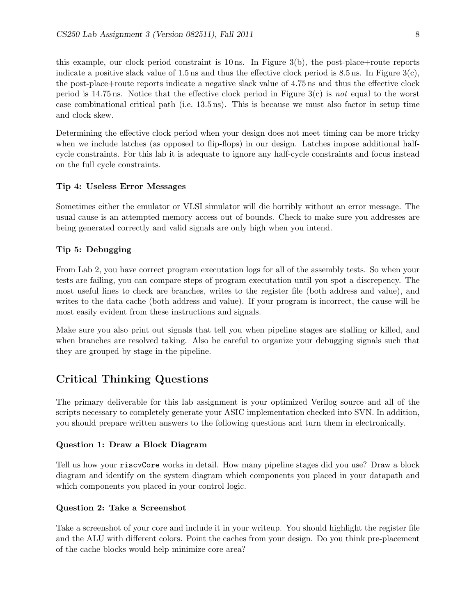this example, our clock period constraint is 10 ns. In Figure 3(b), the post-place+route reports indicate a positive slack value of 1.5 ns and thus the effective clock period is 8.5 ns. In Figure  $3(c)$ , the post-place+route reports indicate a negative slack value of 4.75 ns and thus the effective clock period is 14.75 ns. Notice that the effective clock period in Figure 3(c) is not equal to the worst case combinational critical path (i.e. 13.5 ns). This is because we must also factor in setup time and clock skew.

Determining the effective clock period when your design does not meet timing can be more tricky when we include latches (as opposed to flip-flops) in our design. Latches impose additional halfcycle constraints. For this lab it is adequate to ignore any half-cycle constraints and focus instead on the full cycle constraints.

#### Tip 4: Useless Error Messages

Sometimes either the emulator or VLSI simulator will die horribly without an error message. The usual cause is an attempted memory access out of bounds. Check to make sure you addresses are being generated correctly and valid signals are only high when you intend.

### Tip 5: Debugging

From Lab 2, you have correct program executation logs for all of the assembly tests. So when your tests are failing, you can compare steps of program executation until you spot a discrepency. The most useful lines to check are branches, writes to the register file (both address and value), and writes to the data cache (both address and value). If your program is incorrect, the cause will be most easily evident from these instructions and signals.

Make sure you also print out signals that tell you when pipeline stages are stalling or killed, and when branches are resolved taking. Also be careful to organize your debugging signals such that they are grouped by stage in the pipeline.

# Critical Thinking Questions

The primary deliverable for this lab assignment is your optimized Verilog source and all of the scripts necessary to completely generate your ASIC implementation checked into SVN. In addition, you should prepare written answers to the following questions and turn them in electronically.

#### Question 1: Draw a Block Diagram

Tell us how your riscvCore works in detail. How many pipeline stages did you use? Draw a block diagram and identify on the system diagram which components you placed in your datapath and which components you placed in your control logic.

#### Question 2: Take a Screenshot

Take a screenshot of your core and include it in your writeup. You should highlight the register file and the ALU with different colors. Point the caches from your design. Do you think pre-placement of the cache blocks would help minimize core area?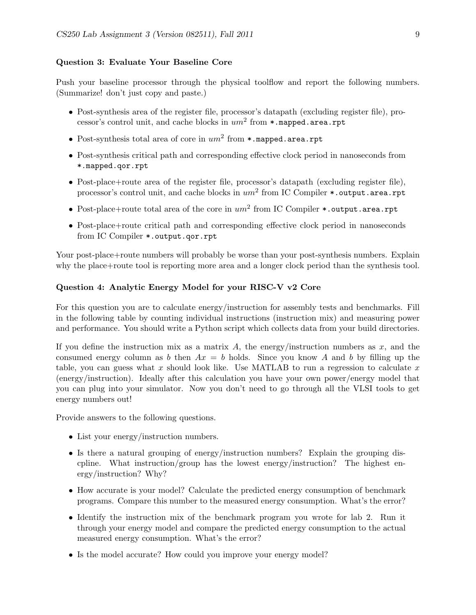#### Question 3: Evaluate Your Baseline Core

Push your baseline processor through the physical toolflow and report the following numbers. (Summarize! don't just copy and paste.)

- Post-synthesis area of the register file, processor's datapath (excluding register file), processor's control unit, and cache blocks in  $um^2$  from  $\ast$ .mapped.area.rpt
- Post-synthesis total area of core in  $um^2$  from  $*$ . mapped. area.rpt
- Post-synthesis critical path and corresponding effective clock period in nanoseconds from \*.mapped.qor.rpt
- Post-place+route area of the register file, processor's datapath (excluding register file), processor's control unit, and cache blocks in  $um^2$  from IC Compiler  $\ast$ .output.area.rpt
- Post-place+route total area of the core in  $um^2$  from IC Compiler \*.output.area.rpt
- Post-place+route critical path and corresponding effective clock period in nanoseconds from IC Compiler \*.output.qor.rpt

Your post-place+route numbers will probably be worse than your post-synthesis numbers. Explain why the place+route tool is reporting more area and a longer clock period than the synthesis tool.

#### Question 4: Analytic Energy Model for your RISC-V v2 Core

For this question you are to calculate energy/instruction for assembly tests and benchmarks. Fill in the following table by counting individual instructions (instruction mix) and measuring power and performance. You should write a Python script which collects data from your build directories.

If you define the instruction mix as a matrix A, the energy/instruction numbers as  $x$ , and the consumed energy column as b then  $Ax = b$  holds. Since you know A and b by filling up the table, you can guess what x should look like. Use MATLAB to run a regression to calculate x (energy/instruction). Ideally after this calculation you have your own power/energy model that you can plug into your simulator. Now you don't need to go through all the VLSI tools to get energy numbers out!

Provide answers to the following questions.

- List your energy/instruction numbers.
- Is there a natural grouping of energy/instruction numbers? Explain the grouping discpline. What instruction/group has the lowest energy/instruction? The highest energy/instruction? Why?
- How accurate is your model? Calculate the predicted energy consumption of benchmark programs. Compare this number to the measured energy consumption. What's the error?
- Identify the instruction mix of the benchmark program you wrote for lab 2. Run it through your energy model and compare the predicted energy consumption to the actual measured energy consumption. What's the error?
- Is the model accurate? How could you improve your energy model?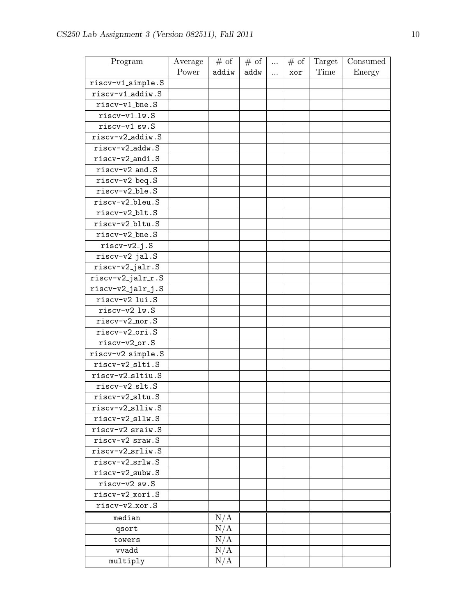| Power<br>Time<br>addiw<br>addw<br>Energy<br>xor<br>$\cdots$<br>riscv-v1_simple.S<br>riscv-v1_addiw.S<br>riscv-v1_bne.S<br>$riscv-v1_lw.S$<br>riscv-v1_sw.S<br>riscv-v2_addiw.S<br>riscv-v2_addw.S<br>riscv-v2_andi.S<br>riscv-v2_and.S |
|----------------------------------------------------------------------------------------------------------------------------------------------------------------------------------------------------------------------------------------|
|                                                                                                                                                                                                                                        |
|                                                                                                                                                                                                                                        |
|                                                                                                                                                                                                                                        |
|                                                                                                                                                                                                                                        |
|                                                                                                                                                                                                                                        |
|                                                                                                                                                                                                                                        |
|                                                                                                                                                                                                                                        |
|                                                                                                                                                                                                                                        |
|                                                                                                                                                                                                                                        |
|                                                                                                                                                                                                                                        |
| riscv-v2_beq.S                                                                                                                                                                                                                         |
| riscv-v2_ble.S                                                                                                                                                                                                                         |
| riscv-v2_bleu.S                                                                                                                                                                                                                        |
| riscv-v2_blt.S                                                                                                                                                                                                                         |
| riscv-v2_bltu.S                                                                                                                                                                                                                        |
| riscv-v2_bne.S                                                                                                                                                                                                                         |
| $riscv-v2_j.S$                                                                                                                                                                                                                         |
| riscv-v2_jal.S                                                                                                                                                                                                                         |
| riscv-v2_jalr.S                                                                                                                                                                                                                        |
| riscv-v2_jalr_r.S                                                                                                                                                                                                                      |
| riscv-v2_jalr_j.S                                                                                                                                                                                                                      |
| riscv-v2_lui.S                                                                                                                                                                                                                         |
| riscv-v2_lw.S                                                                                                                                                                                                                          |
| $riscv-v2 nor.S$                                                                                                                                                                                                                       |
| riscv-v2_ori.S                                                                                                                                                                                                                         |
| riscv-v2_or.S                                                                                                                                                                                                                          |
| riscv-v2_simple.S                                                                                                                                                                                                                      |
| riscv-v2_slti.S                                                                                                                                                                                                                        |
| riscv-v2_sltiu.S                                                                                                                                                                                                                       |
| riscv-v2_slt.S                                                                                                                                                                                                                         |
| riscv-v2_sltu.S                                                                                                                                                                                                                        |
| riscv-v2_slliw.S                                                                                                                                                                                                                       |
| riscv-v2_sllw.S                                                                                                                                                                                                                        |
| riscv-v2_sraiw.S                                                                                                                                                                                                                       |
| $riscv-v2_sraw.S$                                                                                                                                                                                                                      |
| riscv-v2_srliw.S                                                                                                                                                                                                                       |
| riscv-v2_srlw.S                                                                                                                                                                                                                        |
| riscv-v2_subw.S                                                                                                                                                                                                                        |
| $riscv-v2$ <sub>-SW</sub> .S                                                                                                                                                                                                           |
| riscv-v2_xori.S                                                                                                                                                                                                                        |
| riscv-v2_xor.S                                                                                                                                                                                                                         |
| N/A<br>median                                                                                                                                                                                                                          |
| N/A<br>qsort                                                                                                                                                                                                                           |
| N/A<br>towers                                                                                                                                                                                                                          |
| N/A<br>vvadd                                                                                                                                                                                                                           |
| N/A<br>multiply                                                                                                                                                                                                                        |